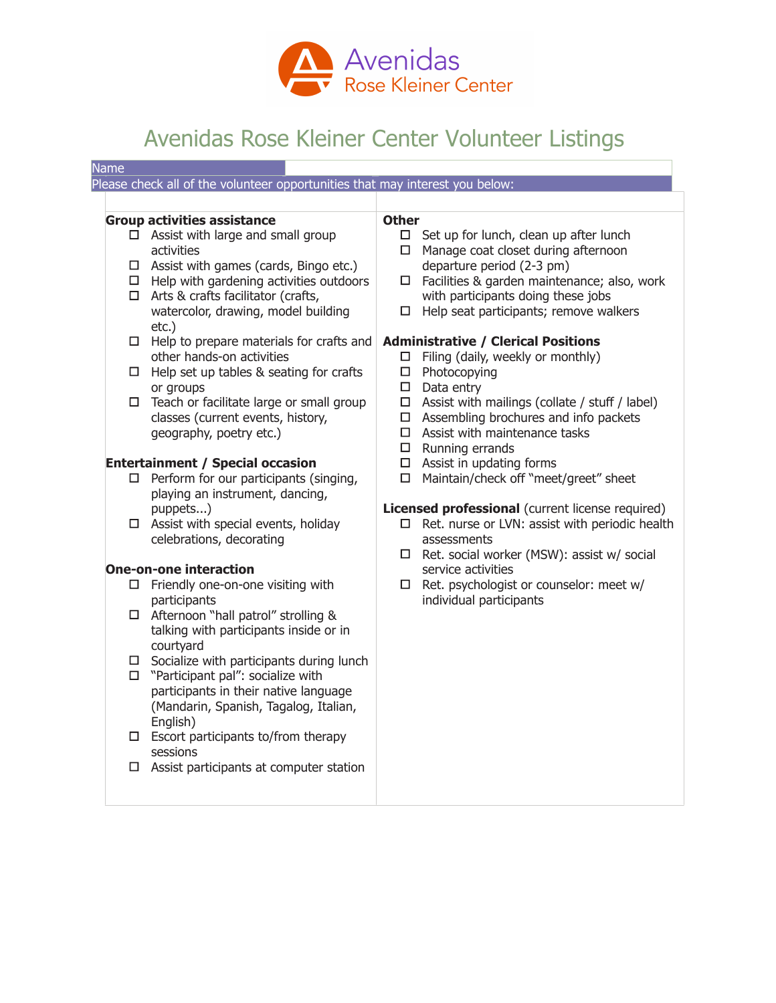

## Avenidas Rose Kleiner Center Volunteer Listings

| <b>Name</b>                                                                                                                                                                                                                                                                                                                                                                                                                                                                                                                                                                                                                                               |                                                                                                                                                                                                                                                                                                                                                                                                                                                                                                                                                                                                                                                                                                    |
|-----------------------------------------------------------------------------------------------------------------------------------------------------------------------------------------------------------------------------------------------------------------------------------------------------------------------------------------------------------------------------------------------------------------------------------------------------------------------------------------------------------------------------------------------------------------------------------------------------------------------------------------------------------|----------------------------------------------------------------------------------------------------------------------------------------------------------------------------------------------------------------------------------------------------------------------------------------------------------------------------------------------------------------------------------------------------------------------------------------------------------------------------------------------------------------------------------------------------------------------------------------------------------------------------------------------------------------------------------------------------|
| Please check all of the volunteer opportunities that may interest you below:                                                                                                                                                                                                                                                                                                                                                                                                                                                                                                                                                                              |                                                                                                                                                                                                                                                                                                                                                                                                                                                                                                                                                                                                                                                                                                    |
|                                                                                                                                                                                                                                                                                                                                                                                                                                                                                                                                                                                                                                                           |                                                                                                                                                                                                                                                                                                                                                                                                                                                                                                                                                                                                                                                                                                    |
| <b>Group activities assistance</b><br>$\Box$ Assist with large and small group<br>activities<br>$\Box$ Assist with games (cards, Bingo etc.)<br>$\Box$ Help with gardening activities outdoors<br>$\Box$ Arts & crafts facilitator (crafts,<br>watercolor, drawing, model building<br>etc.)<br>$\Box$ Help to prepare materials for crafts and<br>other hands-on activities<br>$\Box$ Help set up tables & seating for crafts<br>or groups<br>$\Box$ Teach or facilitate large or small group<br>classes (current events, history,<br>geography, poetry etc.)<br><b>Entertainment / Special occasion</b><br>$\Box$ Perform for our participants (singing, | <b>Other</b><br>$\Box$ Set up for lunch, clean up after lunch<br>Manage coat closet during afternoon<br>$\Box$<br>departure period (2-3 pm)<br>$\Box$ Facilities & garden maintenance; also, work<br>with participants doing these jobs<br>Help seat participants; remove walkers<br>□ .<br><b>Administrative / Clerical Positions</b><br>$\Box$ Filing (daily, weekly or monthly)<br>$\Box$ Photocopying<br>$\Box$<br>Data entry<br>$\Box$ Assist with mailings (collate / stuff / label)<br>$\Box$ Assembling brochures and info packets<br>$\Box$ Assist with maintenance tasks<br>$\Box$ Running errands<br>$\Box$ Assist in updating forms<br>Maintain/check off "meet/greet" sheet<br>$\Box$ |
| playing an instrument, dancing,<br>puppets)<br>$\Box$ Assist with special events, holiday<br>celebrations, decorating                                                                                                                                                                                                                                                                                                                                                                                                                                                                                                                                     | Licensed professional (current license required)<br>Ret. nurse or LVN: assist with periodic health<br>□  <br>assessments<br>$\Box$ Ret. social worker (MSW): assist w/ social                                                                                                                                                                                                                                                                                                                                                                                                                                                                                                                      |
| <b>One-on-one interaction</b>                                                                                                                                                                                                                                                                                                                                                                                                                                                                                                                                                                                                                             | service activities                                                                                                                                                                                                                                                                                                                                                                                                                                                                                                                                                                                                                                                                                 |
| $\square$ Friendly one-on-one visiting with<br>participants                                                                                                                                                                                                                                                                                                                                                                                                                                                                                                                                                                                               | Ret. psychologist or counselor: meet w/<br>individual participants                                                                                                                                                                                                                                                                                                                                                                                                                                                                                                                                                                                                                                 |
| □ Afternoon "hall patrol" strolling &<br>talking with participants inside or in<br>courtyard                                                                                                                                                                                                                                                                                                                                                                                                                                                                                                                                                              |                                                                                                                                                                                                                                                                                                                                                                                                                                                                                                                                                                                                                                                                                                    |
| $\Box$ Socialize with participants during lunch<br>$\Box$ "Participant pal": socialize with<br>participants in their native language<br>(Mandarin, Spanish, Tagalog, Italian,<br>English)                                                                                                                                                                                                                                                                                                                                                                                                                                                                 |                                                                                                                                                                                                                                                                                                                                                                                                                                                                                                                                                                                                                                                                                                    |
| $\Box$ Escort participants to/from therapy<br>sessions                                                                                                                                                                                                                                                                                                                                                                                                                                                                                                                                                                                                    |                                                                                                                                                                                                                                                                                                                                                                                                                                                                                                                                                                                                                                                                                                    |
| $\Box$ Assist participants at computer station                                                                                                                                                                                                                                                                                                                                                                                                                                                                                                                                                                                                            |                                                                                                                                                                                                                                                                                                                                                                                                                                                                                                                                                                                                                                                                                                    |